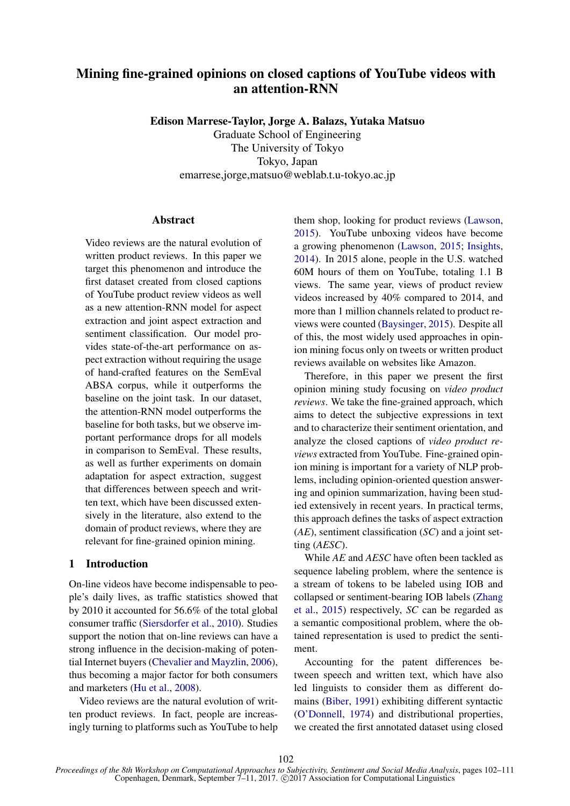# Mining fine-grained opinions on closed captions of YouTube videos with an attention-RNN

Edison Marrese-Taylor, Jorge A. Balazs, Yutaka Matsuo

Graduate School of Engineering The University of Tokyo Tokyo, Japan emarrese,jorge,matsuo@weblab.t.u-tokyo.ac.jp

## **Abstract**

Video reviews are the natural evolution of written product reviews. In this paper we target this phenomenon and introduce the first dataset created from closed captions of YouTube product review videos as well as a new attention-RNN model for aspect extraction and joint aspect extraction and sentiment classification. Our model provides state-of-the-art performance on aspect extraction without requiring the usage of hand-crafted features on the SemEval ABSA corpus, while it outperforms the baseline on the joint task. In our dataset, the attention-RNN model outperforms the baseline for both tasks, but we observe important performance drops for all models in comparison to SemEval. These results, as well as further experiments on domain adaptation for aspect extraction, suggest that differences between speech and written text, which have been discussed extensively in the literature, also extend to the domain of product reviews, where they are relevant for fine-grained opinion mining.

#### 1 Introduction

On-line videos have become indispensable to people's daily lives, as traffic statistics showed that by 2010 it accounted for 56.6% of the total global consumer traffic (Siersdorfer et al., 2010). Studies support the notion that on-line reviews can have a strong influence in the decision-making of potential Internet buyers (Chevalier and Mayzlin, 2006), thus becoming a major factor for both consumers and marketers (Hu et al., 2008).

Video reviews are the natural evolution of written product reviews. In fact, people are increasingly turning to platforms such as YouTube to help them shop, looking for product reviews (Lawson, 2015). YouTube unboxing videos have become a growing phenomenon (Lawson, 2015; Insights, 2014). In 2015 alone, people in the U.S. watched 60M hours of them on YouTube, totaling 1.1 B views. The same year, views of product review videos increased by 40% compared to 2014, and more than 1 million channels related to product reviews were counted (Baysinger, 2015). Despite all of this, the most widely used approaches in opinion mining focus only on tweets or written product reviews available on websites like Amazon.

Therefore, in this paper we present the first opinion mining study focusing on *video product reviews*. We take the fine-grained approach, which aims to detect the subjective expressions in text and to characterize their sentiment orientation, and analyze the closed captions of *video product reviews* extracted from YouTube. Fine-grained opinion mining is important for a variety of NLP problems, including opinion-oriented question answering and opinion summarization, having been studied extensively in recent years. In practical terms, this approach defines the tasks of aspect extraction (*AE*), sentiment classification (*SC*) and a joint setting (*AESC*).

While *AE* and *AESC* have often been tackled as sequence labeling problem, where the sentence is a stream of tokens to be labeled using IOB and collapsed or sentiment-bearing IOB labels (Zhang et al., 2015) respectively, *SC* can be regarded as a semantic compositional problem, where the obtained representation is used to predict the sentiment.

Accounting for the patent differences between speech and written text, which have also led linguists to consider them as different domains (Biber, 1991) exhibiting different syntactic (O'Donnell, 1974) and distributional properties, we created the first annotated dataset using closed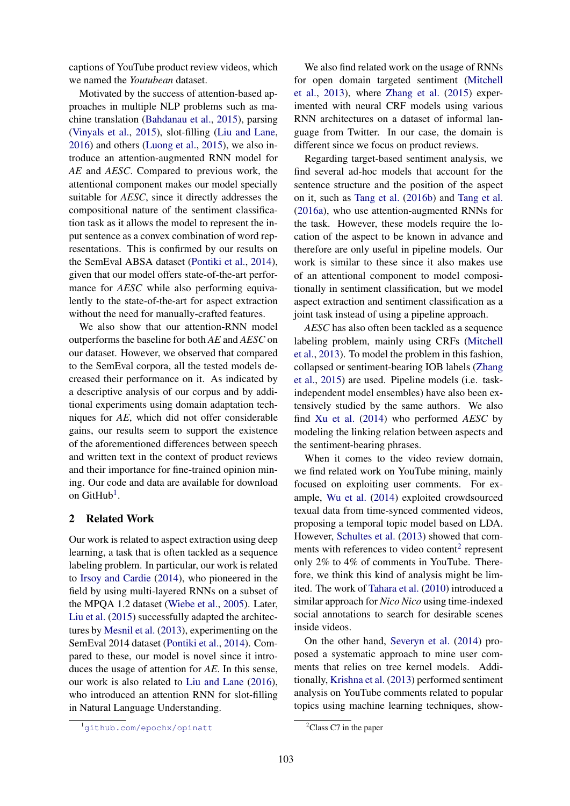captions of YouTube product review videos, which we named the *Youtubean* dataset.

Motivated by the success of attention-based approaches in multiple NLP problems such as machine translation (Bahdanau et al., 2015), parsing (Vinyals et al., 2015), slot-filling (Liu and Lane, 2016) and others (Luong et al., 2015), we also introduce an attention-augmented RNN model for *AE* and *AESC*. Compared to previous work, the attentional component makes our model specially suitable for *AESC*, since it directly addresses the compositional nature of the sentiment classification task as it allows the model to represent the input sentence as a convex combination of word representations. This is confirmed by our results on the SemEval ABSA dataset (Pontiki et al., 2014), given that our model offers state-of-the-art performance for *AESC* while also performing equivalently to the state-of-the-art for aspect extraction without the need for manually-crafted features.

We also show that our attention-RNN model outperforms the baseline for both *AE* and *AESC* on our dataset. However, we observed that compared to the SemEval corpora, all the tested models decreased their performance on it. As indicated by a descriptive analysis of our corpus and by additional experiments using domain adaptation techniques for *AE*, which did not offer considerable gains, our results seem to support the existence of the aforementioned differences between speech and written text in the context of product reviews and their importance for fine-trained opinion mining. Our code and data are available for download on GitHub<sup>1</sup>.

# 2 Related Work

Our work is related to aspect extraction using deep learning, a task that is often tackled as a sequence labeling problem. In particular, our work is related to Irsoy and Cardie (2014), who pioneered in the field by using multi-layered RNNs on a subset of the MPQA 1.2 dataset (Wiebe et al., 2005). Later, Liu et al. (2015) successfully adapted the architectures by Mesnil et al. (2013), experimenting on the SemEval 2014 dataset (Pontiki et al., 2014). Compared to these, our model is novel since it introduces the usage of attention for *AE*. In this sense, our work is also related to Liu and Lane (2016), who introduced an attention RNN for slot-filling in Natural Language Understanding.

We also find related work on the usage of RNNs for open domain targeted sentiment (Mitchell et al., 2013), where Zhang et al. (2015) experimented with neural CRF models using various RNN architectures on a dataset of informal language from Twitter. In our case, the domain is different since we focus on product reviews.

Regarding target-based sentiment analysis, we find several ad-hoc models that account for the sentence structure and the position of the aspect on it, such as Tang et al. (2016b) and Tang et al. (2016a), who use attention-augmented RNNs for the task. However, these models require the location of the aspect to be known in advance and therefore are only useful in pipeline models. Our work is similar to these since it also makes use of an attentional component to model compositionally in sentiment classification, but we model aspect extraction and sentiment classification as a joint task instead of using a pipeline approach.

*AESC* has also often been tackled as a sequence labeling problem, mainly using CRFs (Mitchell et al., 2013). To model the problem in this fashion, collapsed or sentiment-bearing IOB labels (Zhang et al., 2015) are used. Pipeline models (i.e. taskindependent model ensembles) have also been extensively studied by the same authors. We also find Xu et al. (2014) who performed *AESC* by modeling the linking relation between aspects and the sentiment-bearing phrases.

When it comes to the video review domain, we find related work on YouTube mining, mainly focused on exploiting user comments. For example, Wu et al. (2014) exploited crowdsourced texual data from time-synced commented videos, proposing a temporal topic model based on LDA. However, Schultes et al. (2013) showed that comments with references to video content<sup>2</sup> represent only 2% to 4% of comments in YouTube. Therefore, we think this kind of analysis might be limited. The work of Tahara et al. (2010) introduced a similar approach for *Nico Nico* using time-indexed social annotations to search for desirable scenes inside videos.

On the other hand, Severyn et al. (2014) proposed a systematic approach to mine user comments that relies on tree kernel models. Additionally, Krishna et al. (2013) performed sentiment analysis on YouTube comments related to popular topics using machine learning techniques, show-

<sup>1</sup>github.com/epochx/opinatt

 ${}^{2}$ Class C7 in the paper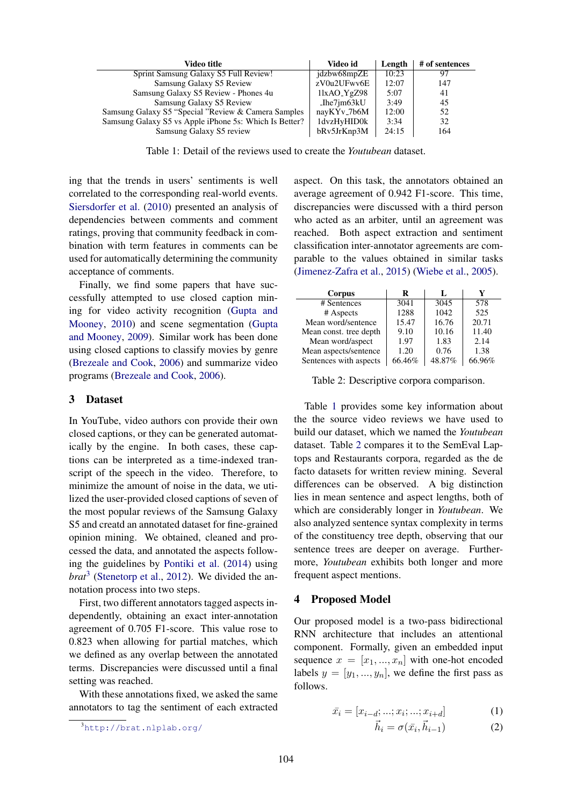| Video title                                            | Video id      | Length | # of sentences |
|--------------------------------------------------------|---------------|--------|----------------|
| Sprint Samsung Galaxy S5 Full Review!                  | jdzbw68mpZE   | 10:23  | 97             |
| Samsung Galaxy S5 Review                               | zV0u2UFwv6E   | 12:07  | 147            |
| Samsung Galaxy S5 Review - Phones 4u                   | $11xAO_YgZ98$ | 5:07   | 41             |
| Samsung Galaxy S5 Review                               | Ihe7im63kU    | 3:49   | 45             |
| Samsung Galaxy S5 "Special "Review & Camera Samples"   | nayKYv_7b6M   | 12:00  | 52             |
| Samsung Galaxy S5 vs Apple iPhone 5s: Which Is Better? | 1dvzHyHID0k   | 3:34   | 32             |
| Samsung Galaxy S5 review                               | bRv5JrKnp3M   | 24:15  | 164            |

Table 1: Detail of the reviews used to create the *Youtubean* dataset.

ing that the trends in users' sentiments is well correlated to the corresponding real-world events. Siersdorfer et al. (2010) presented an analysis of dependencies between comments and comment ratings, proving that community feedback in combination with term features in comments can be used for automatically determining the community acceptance of comments.

Finally, we find some papers that have successfully attempted to use closed caption mining for video activity recognition (Gupta and Mooney, 2010) and scene segmentation (Gupta and Mooney, 2009). Similar work has been done using closed captions to classify movies by genre (Brezeale and Cook, 2006) and summarize video programs (Brezeale and Cook, 2006).

#### 3 Dataset

In YouTube, video authors con provide their own closed captions, or they can be generated automatically by the engine. In both cases, these captions can be interpreted as a time-indexed transcript of the speech in the video. Therefore, to minimize the amount of noise in the data, we utilized the user-provided closed captions of seven of the most popular reviews of the Samsung Galaxy S5 and creatd an annotated dataset for fine-grained opinion mining. We obtained, cleaned and processed the data, and annotated the aspects following the guidelines by Pontiki et al. (2014) using *brat*<sup>3</sup> (Stenetorp et al., 2012). We divided the annotation process into two steps.

First, two different annotators tagged aspects independently, obtaining an exact inter-annotation agreement of 0.705 F1-score. This value rose to 0.823 when allowing for partial matches, which we defined as any overlap between the annotated terms. Discrepancies were discussed until a final setting was reached.

With these annotations fixed, we asked the same annotators to tag the sentiment of each extracted

aspect. On this task, the annotators obtained an average agreement of 0.942 F1-score. This time, discrepancies were discussed with a third person who acted as an arbiter, until an agreement was reached. Both aspect extraction and sentiment classification inter-annotator agreements are comparable to the values obtained in similar tasks (Jimenez-Zafra et al., 2015) (Wiebe et al., 2005).

| Corpus                 | R      | L      | Y      |
|------------------------|--------|--------|--------|
| # Sentences            | 3041   | 3045   | 578    |
| # Aspects              | 1288   | 1042   | 525    |
| Mean word/sentence     | 15.47  | 16.76  | 20.71  |
| Mean const. tree depth | 9.10   | 10.16  | 11.40  |
| Mean word/aspect       | 1.97   | 1.83   | 2.14   |
| Mean aspects/sentence  | 1.20   | 0.76   | 1.38   |
| Sentences with aspects | 66.46% | 48.87% | 66.96% |

Table 2: Descriptive corpora comparison.

Table 1 provides some key information about the the source video reviews we have used to build our dataset, which we named the *Youtubean* dataset. Table 2 compares it to the SemEval Laptops and Restaurants corpora, regarded as the de facto datasets for written review mining. Several differences can be observed. A big distinction lies in mean sentence and aspect lengths, both of which are considerably longer in *Youtubean*. We also analyzed sentence syntax complexity in terms of the constituency tree depth, observing that our sentence trees are deeper on average. Furthermore, *Youtubean* exhibits both longer and more frequent aspect mentions.

#### 4 Proposed Model

Our proposed model is a two-pass bidirectional RNN architecture that includes an attentional component. Formally, given an embedded input sequence  $x = [x_1, ..., x_n]$  with one-hot encoded labels  $y = [y_1, ..., y_n]$ , we define the first pass as follows.

$$
\bar{x}_i = [x_{i-d};...;x_i;...;x_{i+d}] \tag{1}
$$

$$
\vec{h}_i = \sigma(\bar{x}_i, \vec{h}_{i-1}) \tag{2}
$$

<sup>3</sup>http://brat.nlplab.org/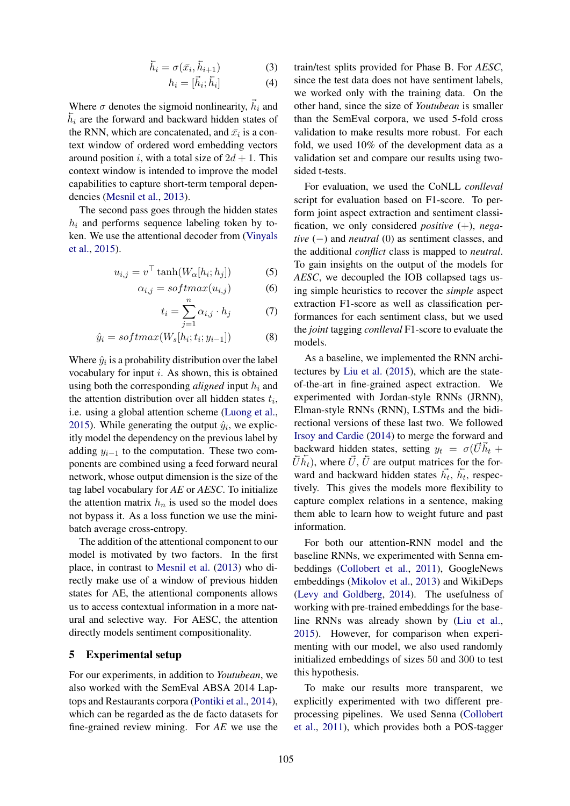$$
\overleftarrow{h}_i = \sigma(\overrightarrow{x_i}, \overleftarrow{h}_{i+1}) \tag{3}
$$

$$
h_i = [\vec{h}_i; \overleftarrow{h}_i] \tag{4}
$$

Where  $\sigma$  denotes the sigmoid nonlinearity,  $\vec{h}_i$  and  $\overline{h}_i$  are the forward and backward hidden states of the RNN, which are concatenated, and  $\bar{x}_i$  is a context window of ordered word embedding vectors around position i, with a total size of  $2d + 1$ . This context window is intended to improve the model capabilities to capture short-term temporal dependencies (Mesnil et al., 2013).

The second pass goes through the hidden states  $h_i$  and performs sequence labeling token by token. We use the attentional decoder from (Vinyals et al., 2015).

$$
u_{i,j} = v^{\top} \tanh(W_{\alpha}[h_i; h_j]) \tag{5}
$$

$$
\alpha_{i,j} = softmax(u_{i,j}) \tag{6}
$$

$$
t_i = \sum_{j=1}^{n} \alpha_{i,j} \cdot h_j \tag{7}
$$

$$
\hat{y}_i = softmax(W_s[h_i; t_i; y_{i-1}])
$$
\n(8)

Where  $\hat{y}_i$  is a probability distribution over the label vocabulary for input  $i$ . As shown, this is obtained using both the corresponding *aligned* input  $h_i$  and the attention distribution over all hidden states  $t_i$ , i.e. using a global attention scheme (Luong et al., 2015). While generating the output  $\hat{y}_i$ , we explicitly model the dependency on the previous label by adding  $y_{i-1}$  to the computation. These two components are combined using a feed forward neural network, whose output dimension is the size of the tag label vocabulary for *AE* or *AESC*. To initialize the attention matrix  $h_n$  is used so the model does not bypass it. As a loss function we use the minibatch average cross-entropy.

The addition of the attentional component to our model is motivated by two factors. In the first place, in contrast to Mesnil et al. (2013) who directly make use of a window of previous hidden states for AE, the attentional components allows us to access contextual information in a more natural and selective way. For AESC, the attention directly models sentiment compositionality.

## 5 Experimental setup

For our experiments, in addition to *Youtubean*, we also worked with the SemEval ABSA 2014 Laptops and Restaurants corpora (Pontiki et al., 2014), which can be regarded as the de facto datasets for fine-grained review mining. For *AE* we use the

train/test splits provided for Phase B. For *AESC*, since the test data does not have sentiment labels, we worked only with the training data. On the other hand, since the size of *Youtubean* is smaller than the SemEval corpora, we used 5-fold cross validation to make results more robust. For each fold, we used 10% of the development data as a validation set and compare our results using twosided t-tests.

For evaluation, we used the CoNLL *conlleval* script for evaluation based on F1-score. To perform joint aspect extraction and sentiment classification, we only considered *positive* (+), *negative* (−) and *neutral* (0) as sentiment classes, and the additional *conflict* class is mapped to *neutral*. To gain insights on the output of the models for *AESC*, we decoupled the IOB collapsed tags using simple heuristics to recover the *simple* aspect extraction F1-score as well as classification performances for each sentiment class, but we used the *joint* tagging *conlleval* F1-score to evaluate the models.

As a baseline, we implemented the RNN architectures by Liu et al. (2015), which are the stateof-the-art in fine-grained aspect extraction. We experimented with Jordan-style RNNs (JRNN), Elman-style RNNs (RNN), LSTMs and the bidirectional versions of these last two. We followed Irsoy and Cardie (2014) to merge the forward and backward hidden states, setting  $y_t = \sigma(\dot{U}h_t +$  $\bar{U}\bar{h_t}$ ), where  $\vec{U}$ ,  $\vec{U}$  are output matrices for the forward and backward hidden states  $\vec{h}_t$ ,  $\vec{h}_t$ , respectively. This gives the models more flexibility to capture complex relations in a sentence, making them able to learn how to weight future and past information.

For both our attention-RNN model and the baseline RNNs, we experimented with Senna embeddings (Collobert et al., 2011), GoogleNews embeddings (Mikolov et al., 2013) and WikiDeps (Levy and Goldberg, 2014). The usefulness of working with pre-trained embeddings for the baseline RNNs was already shown by (Liu et al., 2015). However, for comparison when experimenting with our model, we also used randomly initialized embeddings of sizes 50 and 300 to test this hypothesis.

To make our results more transparent, we explicitly experimented with two different preprocessing pipelines. We used Senna (Collobert et al., 2011), which provides both a POS-tagger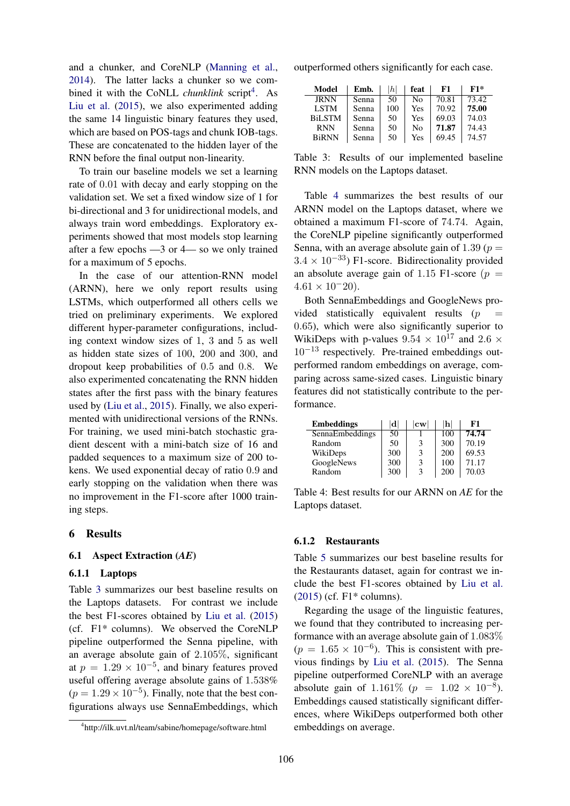and a chunker, and CoreNLP (Manning et al., 2014). The latter lacks a chunker so we combined it with the CoNLL *chunklink* script<sup>4</sup>. As Liu et al. (2015), we also experimented adding the same 14 linguistic binary features they used, which are based on POS-tags and chunk IOB-tags. These are concatenated to the hidden layer of the RNN before the final output non-linearity.

To train our baseline models we set a learning rate of 0.01 with decay and early stopping on the validation set. We set a fixed window size of 1 for bi-directional and 3 for unidirectional models, and always train word embeddings. Exploratory experiments showed that most models stop learning after a few epochs —3 or 4— so we only trained for a maximum of 5 epochs.

In the case of our attention-RNN model (ARNN), here we only report results using LSTMs, which outperformed all others cells we tried on preliminary experiments. We explored different hyper-parameter configurations, including context window sizes of 1, 3 and 5 as well as hidden state sizes of 100, 200 and 300, and dropout keep probabilities of 0.5 and 0.8. We also experimented concatenating the RNN hidden states after the first pass with the binary features used by (Liu et al., 2015). Finally, we also experimented with unidirectional versions of the RNNs. For training, we used mini-batch stochastic gradient descent with a mini-batch size of 16 and padded sequences to a maximum size of 200 tokens. We used exponential decay of ratio 0.9 and early stopping on the validation when there was no improvement in the F1-score after 1000 training steps.

#### 6 Results

#### 6.1 Aspect Extraction (*AE*)

#### 6.1.1 Laptops

Table 3 summarizes our best baseline results on the Laptops datasets. For contrast we include the best F1-scores obtained by Liu et al. (2015) (cf. F1\* columns). We observed the CoreNLP pipeline outperformed the Senna pipeline, with an average absolute gain of 2.105%, significant at  $p = 1.29 \times 10^{-5}$ , and binary features proved useful offering average absolute gains of 1.538%  $(p = 1.29 \times 10^{-5})$ . Finally, note that the best configurations always use SennaEmbeddings, which

outperformed others significantly for each case.

| Model         | Emb.  | h   | feat | F1    | $F1*$ |
|---------------|-------|-----|------|-------|-------|
| <b>JRNN</b>   | Senna | 50  | No   | 70.81 | 73.42 |
| <b>LSTM</b>   | Senna | 100 | Yes  | 70.92 | 75.00 |
| <b>BiLSTM</b> | Senna | 50  | Yes  | 69.03 | 74.03 |
| <b>RNN</b>    | Senna | 50  | No   | 71.87 | 74.43 |
| <b>BiRNN</b>  | Senna | 50  | Yes  | 69.45 | 74.57 |

Table 3: Results of our implemented baseline RNN models on the Laptops dataset.

Table 4 summarizes the best results of our ARNN model on the Laptops dataset, where we obtained a maximum F1-score of 74.74. Again, the CoreNLP pipeline significantly outperformed Senna, with an average absolute gain of 1.39 ( $p =$  $3.4 \times 10^{-33}$ ) F1-score. Bidirectionality provided an absolute average gain of 1.15 F1-score ( $p =$  $4.61 \times 10^{-20}$ .

Both SennaEmbeddings and GoogleNews provided statistically equivalent results  $(p - q)$ 0.65), which were also significantly superior to WikiDeps with p-values  $9.54 \times 10^{17}$  and  $2.6 \times$  $10^{-13}$  respectively. Pre-trained embeddings outperformed random embeddings on average, comparing across same-sized cases. Linguistic binary features did not statistically contribute to the performance.

| <b>Embeddings</b> | ldl | $ {\rm\bf cw} $ | $\mathbf{h}$ | F1    |
|-------------------|-----|-----------------|--------------|-------|
| SennaEmbeddings   | 50  |                 | 100          | 74.74 |
| Random            | 50  | 3               | 300          | 70.19 |
| WikiDeps          | 300 | 3               | 200          | 69.53 |
| GoogleNews        | 300 | 3               | 100          | 71.17 |
| Random            | 300 | 3               | 200          | 70.03 |

Table 4: Best results for our ARNN on *AE* for the Laptops dataset.

## 6.1.2 Restaurants

Table 5 summarizes our best baseline results for the Restaurants dataset, again for contrast we include the best F1-scores obtained by Liu et al. (2015) (cf. F1\* columns).

Regarding the usage of the linguistic features, we found that they contributed to increasing performance with an average absolute gain of 1.083%  $(p = 1.65 \times 10^{-6})$ . This is consistent with previous findings by Liu et al. (2015). The Senna pipeline outperformed CoreNLP with an average absolute gain of 1.161\%  $(p = 1.02 \times 10^{-8})$ . Embeddings caused statistically significant differences, where WikiDeps outperformed both other embeddings on average.

<sup>4</sup> http://ilk.uvt.nl/team/sabine/homepage/software.html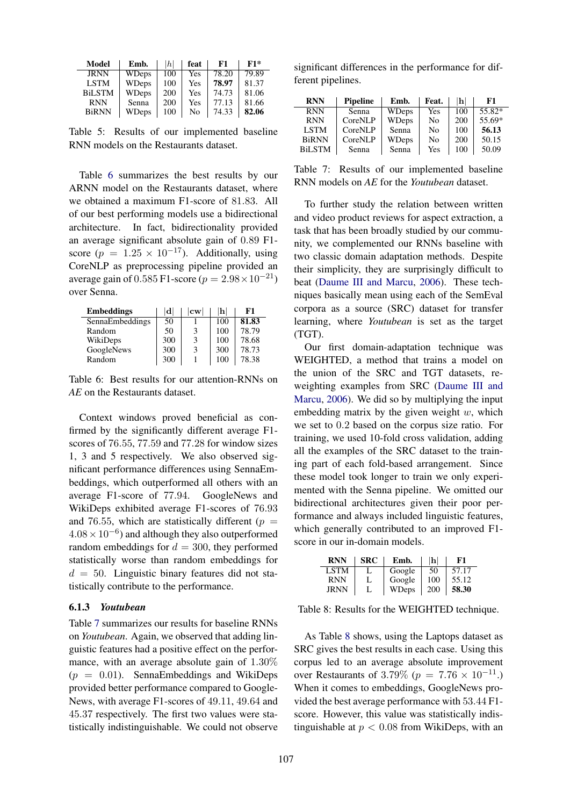| Model         | Emb.         | h   | feat | F1    | F1*   |
|---------------|--------------|-----|------|-------|-------|
| <b>JRNN</b>   | <b>WDeps</b> | 100 | Yes  | 78.20 | 79.89 |
| <b>LSTM</b>   | <b>WDeps</b> | 100 | Yes  | 78.97 | 81.37 |
| <b>BiLSTM</b> | WDeps        | 200 | Yes  | 74.73 | 81.06 |
| <b>RNN</b>    | Senna        | 200 | Yes  | 77.13 | 81.66 |
| <b>BiRNN</b>  | <b>WDeps</b> | 100 | No   | 74.33 | 82.06 |

Table 5: Results of our implemented baseline RNN models on the Restaurants dataset.

Table 6 summarizes the best results by our ARNN model on the Restaurants dataset, where we obtained a maximum F1-score of 81.83. All of our best performing models use a bidirectional architecture. In fact, bidirectionality provided an average significant absolute gain of 0.89 F1 score ( $p = 1.25 \times 10^{-17}$ ). Additionally, using CoreNLP as preprocessing pipeline provided an average gain of 0.585 F1-score ( $p = 2.98 \times 10^{-21}$ ) over Senna.

| <b>Embeddings</b> | d   | $ \mathbf{cw} $ | h   | F1    |
|-------------------|-----|-----------------|-----|-------|
| SennaEmbeddings   | 50  |                 | 100 | 81.83 |
| Random            | 50  | 3               | 100 | 78.79 |
| WikiDeps          | 300 | 3               | 100 | 78.68 |
| GoogleNews        | 300 | 3               | 300 | 78.73 |
| Random            | 300 |                 | 100 | 78.38 |

Table 6: Best results for our attention-RNNs on *AE* on the Restaurants dataset.

Context windows proved beneficial as confirmed by the significantly different average F1 scores of 76.55, 77.59 and 77.28 for window sizes 1, 3 and 5 respectively. We also observed significant performance differences using SennaEmbeddings, which outperformed all others with an average F1-score of 77.94. GoogleNews and WikiDeps exhibited average F1-scores of 76.93 and 76.55, which are statistically different ( $p =$  $4.08 \times 10^{-6}$ ) and although they also outperformed random embeddings for  $d = 300$ , they performed statistically worse than random embeddings for  $d = 50$ . Linguistic binary features did not statistically contribute to the performance.

#### 6.1.3 *Youtubean*

Table 7 summarizes our results for baseline RNNs on *Youtubean*. Again, we observed that adding linguistic features had a positive effect on the performance, with an average absolute gain of 1.30%  $(p = 0.01)$ . SennaEmbeddings and WikiDeps provided better performance compared to Google-News, with average F1-scores of 49.11, 49.64 and 45.37 respectively. The first two values were statistically indistinguishable. We could not observe

significant differences in the performance for different pipelines.

| <b>RNN</b>    | <b>Pipeline</b> | Emb.         | Feat.          | lhl | F1     |
|---------------|-----------------|--------------|----------------|-----|--------|
| <b>RNN</b>    | Senna           | <b>WDeps</b> | Yes            | 100 | 55.82* |
| <b>RNN</b>    | CoreNLP         | <b>WDeps</b> | N <sub>0</sub> | 200 | 55.69* |
| <b>LSTM</b>   | CoreNLP         | Senna        | N <sub>0</sub> | 100 | 56.13  |
| <b>BiRNN</b>  | CoreNLP         | WDeps        | No             | 200 | 50.15  |
| <b>BiLSTM</b> | Senna           | Senna        | Yes            | 100 | 50.09  |

Table 7: Results of our implemented baseline RNN models on *AE* for the *Youtubean* dataset.

To further study the relation between written and video product reviews for aspect extraction, a task that has been broadly studied by our community, we complemented our RNNs baseline with two classic domain adaptation methods. Despite their simplicity, they are surprisingly difficult to beat (Daume III and Marcu, 2006). These techniques basically mean using each of the SemEval corpora as a source (SRC) dataset for transfer learning, where *Youtubean* is set as the target (TGT).

Our first domain-adaptation technique was WEIGHTED, a method that trains a model on the union of the SRC and TGT datasets, reweighting examples from SRC (Daume III and Marcu, 2006). We did so by multiplying the input embedding matrix by the given weight  $w$ , which we set to 0.2 based on the corpus size ratio. For training, we used 10-fold cross validation, adding all the examples of the SRC dataset to the training part of each fold-based arrangement. Since these model took longer to train we only experimented with the Senna pipeline. We omitted our bidirectional architectures given their poor performance and always included linguistic features, which generally contributed to an improved F1 score in our in-domain models.

| RNN  | <b>SRC</b> | Emb.   | 'h  | F1    |
|------|------------|--------|-----|-------|
| LSTM |            | Google | 50  | 57.17 |
| RNN  |            | Google | 100 | 55.12 |
| IRNN |            | WDeps  | 200 | 58.30 |

Table 8: Results for the WEIGHTED technique.

As Table 8 shows, using the Laptops dataset as SRC gives the best results in each case. Using this corpus led to an average absolute improvement over Restaurants of 3.79% ( $p = 7.76 \times 10^{-11}$ .) When it comes to embeddings, GoogleNews provided the best average performance with 53.44 F1 score. However, this value was statistically indistinguishable at  $p < 0.08$  from WikiDeps, with an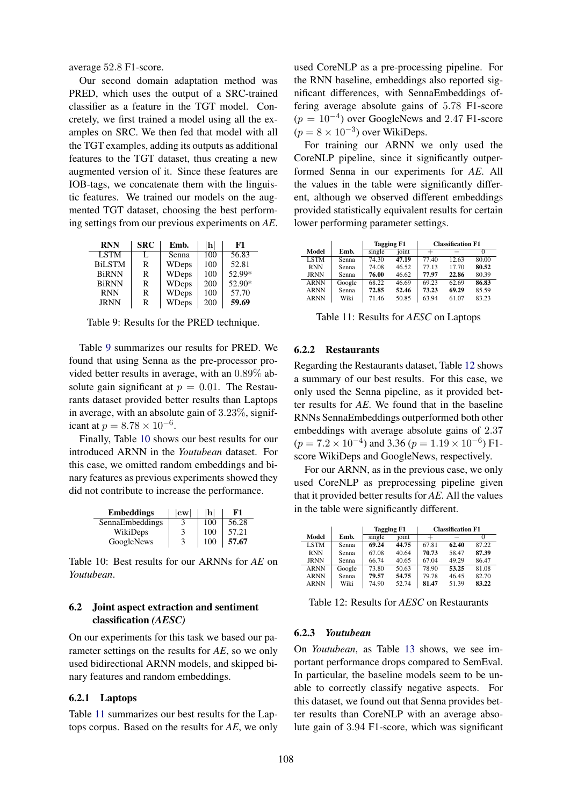average 52.8 F1-score.

Our second domain adaptation method was PRED, which uses the output of a SRC-trained classifier as a feature in the TGT model. Concretely, we first trained a model using all the examples on SRC. We then fed that model with all the TGT examples, adding its outputs as additional features to the TGT dataset, thus creating a new augmented version of it. Since these features are IOB-tags, we concatenate them with the linguistic features. We trained our models on the augmented TGT dataset, choosing the best performing settings from our previous experiments on *AE*.

| <b>RNN</b>    | <b>SRC</b> | Emb.         | $\left  \mathbf{h} \right $ | F1     |
|---------------|------------|--------------|-----------------------------|--------|
| <b>LSTM</b>   | L          | Senna        | 100                         | 56.83  |
| <b>BiLSTM</b> | R          | <b>WDeps</b> | 100                         | 52.81  |
| <b>BiRNN</b>  | R          | WDeps        | 100                         | 52.99* |
| <b>BiRNN</b>  | R          | <b>WDeps</b> | 200                         | 52.90* |
| <b>RNN</b>    | R          | <b>WDeps</b> | 100                         | 57.70  |
| <b>JRNN</b>   | R          | <b>WDeps</b> | 200                         | 59.69  |

Table 9: Results for the PRED technique.

Table 9 summarizes our results for PRED. We found that using Senna as the pre-processor provided better results in average, with an 0.89% absolute gain significant at  $p = 0.01$ . The Restaurants dataset provided better results than Laptops in average, with an absolute gain of 3.23%, significant at  $p = 8.78 \times 10^{-6}$ .

Finally, Table 10 shows our best results for our introduced ARNN in the *Youtubean* dataset. For this case, we omitted random embeddings and binary features as previous experiments showed they did not contribute to increase the performance.

| <b>Embeddings</b> | $ {\bf cw} $ | h   | F1    |
|-------------------|--------------|-----|-------|
| SennaEmbeddings   |              | 100 | 56.28 |
| WikiDeps          | 3            | 100 | 57.21 |
| GoogleNews        | 3            | 100 | 57.67 |

Table 10: Best results for our ARNNs for *AE* on *Youtubean*.

# 6.2 Joint aspect extraction and sentiment classification *(AESC)*

On our experiments for this task we based our parameter settings on the results for *AE*, so we only used bidirectional ARNN models, and skipped binary features and random embeddings.

#### 6.2.1 Laptops

Table 11 summarizes our best results for the Laptops corpus. Based on the results for *AE*, we only used CoreNLP as a pre-processing pipeline. For the RNN baseline, embeddings also reported significant differences, with SennaEmbeddings offering average absolute gains of 5.78 F1-score  $(p = 10^{-4})$  over GoogleNews and 2.47 F1-score  $(p = 8 \times 10^{-3})$  over WikiDeps.

For training our ARNN we only used the CoreNLP pipeline, since it significantly outperformed Senna in our experiments for *AE*. All the values in the table were significantly different, although we observed different embeddings provided statistically equivalent results for certain lower performing parameter settings.

|             |        | <b>Tagging F1</b> |       |       |       |       | <b>Classification F1</b> |  |
|-------------|--------|-------------------|-------|-------|-------|-------|--------------------------|--|
| Model       | Emb.   | single            | joint | $^+$  |       |       |                          |  |
| <b>LSTM</b> | Senna  | 74.30             | 47.19 | 77.40 | 12.63 | 80.00 |                          |  |
| <b>RNN</b>  | Senna  | 74.08             | 46.52 | 77.13 | 17.70 | 80.52 |                          |  |
| <b>JRNN</b> | Senna  | 76.00             | 46.62 | 77.97 | 22.86 | 80.39 |                          |  |
| <b>ARNN</b> | Google | 68.22             | 46.69 | 69.23 | 62.69 | 86.83 |                          |  |
| <b>ARNN</b> | Senna  | 72.85             | 52.46 | 73.23 | 69.29 | 85.59 |                          |  |
| <b>ARNN</b> | Wiki   | 71.46             | 50.85 | 63.94 | 61.07 | 83.23 |                          |  |

Table 11: Results for *AESC* on Laptops

#### 6.2.2 Restaurants

Regarding the Restaurants dataset, Table 12 shows a summary of our best results. For this case, we only used the Senna pipeline, as it provided better results for *AE*. We found that in the baseline RNNs SennaEmbeddings outperformed both other embeddings with average absolute gains of 2.37  $(p = 7.2 \times 10^{-4})$  and 3.36  $(p = 1.19 \times 10^{-6})$  F1score WikiDeps and GoogleNews, respectively.

For our ARNN, as in the previous case, we only used CoreNLP as preprocessing pipeline given that it provided better results for *AE*. All the values in the table were significantly different.

|             |        | <b>Tagging F1</b> |       |       | <b>Classification F1</b> |       |
|-------------|--------|-------------------|-------|-------|--------------------------|-------|
| Model       | Emb.   | single            | joint |       |                          |       |
| <b>LSTM</b> | Senna  | 69.24             | 44.75 | 67.81 | 62.40                    | 87 22 |
| <b>RNN</b>  | Senna  | 67.08             | 40.64 | 70.73 | 58.47                    | 87.39 |
| <b>JRNN</b> | Senna  | 66.74             | 40.65 | 67.04 | 49.29                    | 86.47 |
| <b>ARNN</b> | Google | 73.80             | 50.63 | 78.90 | 53.25                    | 81.08 |
| <b>ARNN</b> | Senna  | 79.57             | 54.75 | 79.78 | 46.45                    | 82.70 |
| <b>ARNN</b> | Wiki   | 74.90             | 52.74 | 81.47 | 51.39                    | 83.22 |

Table 12: Results for *AESC* on Restaurants

#### 6.2.3 *Youtubean*

On *Youtubean*, as Table 13 shows, we see important performance drops compared to SemEval. In particular, the baseline models seem to be unable to correctly classify negative aspects. For this dataset, we found out that Senna provides better results than CoreNLP with an average absolute gain of 3.94 F1-score, which was significant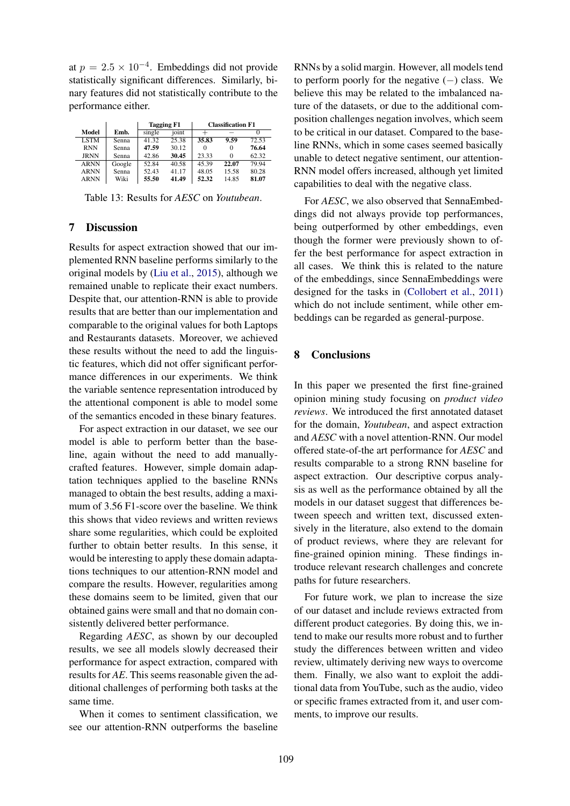at  $p = 2.5 \times 10^{-4}$ . Embeddings did not provide statistically significant differences. Similarly, binary features did not statistically contribute to the performance either.

|             |        | <b>Tagging F1</b> |       | <b>Classification F1</b> |       |       |
|-------------|--------|-------------------|-------|--------------------------|-------|-------|
| Model       | Emb.   | single            | ioint |                          |       |       |
| <b>LSTM</b> | Senna  | 41.32             | 25.38 | 35.83                    | 9.59  | 72.53 |
| <b>RNN</b>  | Senna  | 47.59             | 30.12 |                          | 0     | 76.64 |
| <b>JRNN</b> | Senna  | 42.86             | 30.45 | 23.33                    | 0     | 62.32 |
| <b>ARNN</b> | Google | 52.84             | 40.58 | 45.39                    | 22.07 | 79.94 |
| <b>ARNN</b> | Senna  | 52.43             | 41.17 | 48.05                    | 15.58 | 80.28 |
| <b>ARNN</b> | Wiki   | 55.50             | 41.49 | 52.32                    | 14.85 | 81.07 |

Table 13: Results for *AESC* on *Youtubean*.

# 7 Discussion

Results for aspect extraction showed that our implemented RNN baseline performs similarly to the original models by (Liu et al., 2015), although we remained unable to replicate their exact numbers. Despite that, our attention-RNN is able to provide results that are better than our implementation and comparable to the original values for both Laptops and Restaurants datasets. Moreover, we achieved these results without the need to add the linguistic features, which did not offer significant performance differences in our experiments. We think the variable sentence representation introduced by the attentional component is able to model some of the semantics encoded in these binary features.

For aspect extraction in our dataset, we see our model is able to perform better than the baseline, again without the need to add manuallycrafted features. However, simple domain adaptation techniques applied to the baseline RNNs managed to obtain the best results, adding a maximum of 3.56 F1-score over the baseline. We think this shows that video reviews and written reviews share some regularities, which could be exploited further to obtain better results. In this sense, it would be interesting to apply these domain adaptations techniques to our attention-RNN model and compare the results. However, regularities among these domains seem to be limited, given that our obtained gains were small and that no domain consistently delivered better performance.

Regarding *AESC*, as shown by our decoupled results, we see all models slowly decreased their performance for aspect extraction, compared with results for *AE*. This seems reasonable given the additional challenges of performing both tasks at the same time.

When it comes to sentiment classification, we see our attention-RNN outperforms the baseline

RNNs by a solid margin. However, all models tend to perform poorly for the negative  $(-)$  class. We believe this may be related to the imbalanced nature of the datasets, or due to the additional composition challenges negation involves, which seem to be critical in our dataset. Compared to the baseline RNNs, which in some cases seemed basically unable to detect negative sentiment, our attention-RNN model offers increased, although yet limited capabilities to deal with the negative class.

For *AESC*, we also observed that SennaEmbeddings did not always provide top performances, being outperformed by other embeddings, even though the former were previously shown to offer the best performance for aspect extraction in all cases. We think this is related to the nature of the embeddings, since SennaEmbeddings were designed for the tasks in (Collobert et al., 2011) which do not include sentiment, while other embeddings can be regarded as general-purpose.

# 8 Conclusions

In this paper we presented the first fine-grained opinion mining study focusing on *product video reviews*. We introduced the first annotated dataset for the domain, *Youtubean*, and aspect extraction and *AESC* with a novel attention-RNN. Our model offered state-of-the art performance for *AESC* and results comparable to a strong RNN baseline for aspect extraction. Our descriptive corpus analysis as well as the performance obtained by all the models in our dataset suggest that differences between speech and written text, discussed extensively in the literature, also extend to the domain of product reviews, where they are relevant for fine-grained opinion mining. These findings introduce relevant research challenges and concrete paths for future researchers.

For future work, we plan to increase the size of our dataset and include reviews extracted from different product categories. By doing this, we intend to make our results more robust and to further study the differences between written and video review, ultimately deriving new ways to overcome them. Finally, we also want to exploit the additional data from YouTube, such as the audio, video or specific frames extracted from it, and user comments, to improve our results.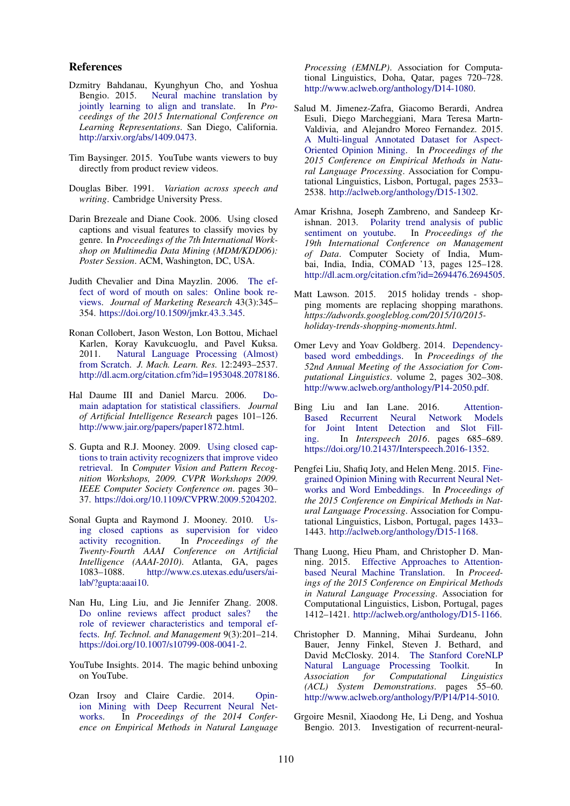#### References

- Dzmitry Bahdanau, Kyunghyun Cho, and Yoshua Bengio. 2015. Neural machine translation by jointly learning to align and translate. In *Proceedings of the 2015 International Conference on Learning Representations*. San Diego, California. http://arxiv.org/abs/1409.0473.
- Tim Baysinger. 2015. YouTube wants viewers to buy directly from product review videos.
- Douglas Biber. 1991. *Variation across speech and writing*. Cambridge University Press.
- Darin Brezeale and Diane Cook. 2006. Using closed captions and visual features to classify movies by genre. In *Proceedings of the 7th International Workshop on Multimedia Data Mining (MDM/KDD06): Poster Session*. ACM, Washington, DC, USA.
- Judith Chevalier and Dina Mayzlin. 2006. The effect of word of mouth on sales: Online book reviews. *Journal of Marketing Research* 43(3):345– 354. https://doi.org/10.1509/jmkr.43.3.345.
- Ronan Collobert, Jason Weston, Lon Bottou, Michael Karlen, Koray Kavukcuoglu, and Pavel Kuksa. 2011. Natural Language Processing (Almost) from Scratch. *J. Mach. Learn. Res.* 12:2493–2537. http://dl.acm.org/citation.cfm?id=1953048.2078186.
- Hal Daume III and Daniel Marcu. 2006. Domain adaptation for statistical classifiers. *Journal of Artificial Intelligence Research* pages 101–126. http://www.jair.org/papers/paper1872.html.
- S. Gupta and R.J. Mooney. 2009. Using closed captions to train activity recognizers that improve video retrieval. In *Computer Vision and Pattern Recognition Workshops, 2009. CVPR Workshops 2009. IEEE Computer Society Conference on*. pages 30– 37. https://doi.org/10.1109/CVPRW.2009.5204202.
- Sonal Gupta and Raymond J. Mooney. 2010. Using closed captions as supervision for video activity recognition. In *Proceedings of the Twenty-Fourth AAAI Conference on Artificial Intelligence (AAAI-2010)*. Atlanta, GA, pages 1083–1088. http://www.cs.utexas.edu/users/ailab/?gupta:aaai10.
- Nan Hu, Ling Liu, and Jie Jennifer Zhang. 2008. Do online reviews affect product sales? the role of reviewer characteristics and temporal effects. *Inf. Technol. and Management* 9(3):201–214. https://doi.org/10.1007/s10799-008-0041-2.
- YouTube Insights. 2014. The magic behind unboxing on YouTube.
- Ozan Irsoy and Claire Cardie. 2014. Opinion Mining with Deep Recurrent Neural Networks. In *Proceedings of the 2014 Conference on Empirical Methods in Natural Language*

*Processing (EMNLP)*. Association for Computational Linguistics, Doha, Qatar, pages 720–728. http://www.aclweb.org/anthology/D14-1080.

- Salud M. Jimenez-Zafra, Giacomo Berardi, Andrea Esuli, Diego Marcheggiani, Mara Teresa Martn-Valdivia, and Alejandro Moreo Fernandez. 2015. A Multi-lingual Annotated Dataset for Aspect-Oriented Opinion Mining. In *Proceedings of the 2015 Conference on Empirical Methods in Natural Language Processing*. Association for Computational Linguistics, Lisbon, Portugal, pages 2533– 2538. http://aclweb.org/anthology/D15-1302.
- Amar Krishna, Joseph Zambreno, and Sandeep Krishnan. 2013. Polarity trend analysis of public sentiment on youtube. In *Proceedings of the 19th International Conference on Management of Data*. Computer Society of India, Mumbai, India, India, COMAD '13, pages 125–128. http://dl.acm.org/citation.cfm?id=2694476.2694505.
- Matt Lawson. 2015. 2015 holiday trends shopping moments are replacing shopping marathons. *https://adwords.googleblog.com/2015/10/2015 holiday-trends-shopping-moments.html*.
- Omer Levy and Yoav Goldberg. 2014. Dependencybased word embeddings. In *Proceedings of the 52nd Annual Meeting of the Association for Computational Linguistics*. volume 2, pages 302–308. http://www.aclweb.org/anthology/P14-2050.pdf.
- Bing Liu and Ian Lane. 2016. Attention-Based Recurrent Neural Network Models for Joint Intent Detection and Slot Filling. In *Interspeech 2016*. pages 685–689. https://doi.org/10.21437/Interspeech.2016-1352.
- Pengfei Liu, Shafiq Joty, and Helen Meng. 2015. Finegrained Opinion Mining with Recurrent Neural Networks and Word Embeddings. In *Proceedings of the 2015 Conference on Empirical Methods in Natural Language Processing*. Association for Computational Linguistics, Lisbon, Portugal, pages 1433– 1443. http://aclweb.org/anthology/D15-1168.
- Thang Luong, Hieu Pham, and Christopher D. Manning. 2015. Effective Approaches to Attentionbased Neural Machine Translation. In *Proceedings of the 2015 Conference on Empirical Methods in Natural Language Processing*. Association for Computational Linguistics, Lisbon, Portugal, pages 1412–1421. http://aclweb.org/anthology/D15-1166.
- Christopher D. Manning, Mihai Surdeanu, John Bauer, Jenny Finkel, Steven J. Bethard, and David McClosky. 2014. The Stanford CoreNLP Natural Language Processing Toolkit. In *Association for Computational Linguistics (ACL) System Demonstrations*. pages 55–60. http://www.aclweb.org/anthology/P/P14/P14-5010.
- Grgoire Mesnil, Xiaodong He, Li Deng, and Yoshua Bengio. 2013. Investigation of recurrent-neural-